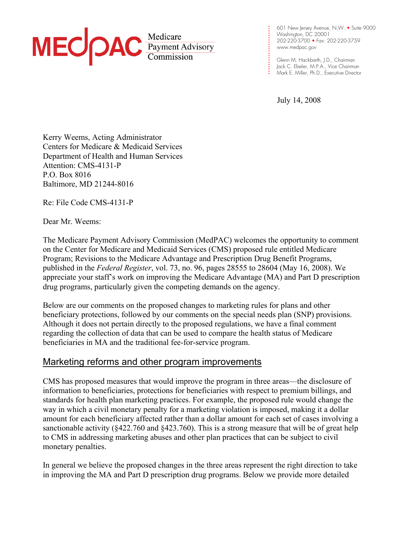

**. .**  Washington, DC 20001 **. . . .**  202-220-3700 • Fax: 202-220-3759 **. . . .**  www.medpac.gov 601 New Jersey Avenue, N.W. • Suite 9000

**. . .**  Glenn M. Hackbarth, J.D., Chairman **. . .**  Jack C. Ebeler, M.P.A., Vice Chairman **. .** Mark E. Miller, Ph.D., Executive Director

July 14, 2008

**. . .** 

**.** 

Kerry Weems, Acting Administrator Centers for Medicare & Medicaid Services Department of Health and Human Services Attention: CMS-4131-P P.O. Box 8016 Baltimore, MD 21244-8016

Re: File Code CMS-4131-P

Dear Mr. Weems:

The Medicare Payment Advisory Commission (MedPAC) welcomes the opportunity to comment on the Center for Medicare and Medicaid Services (CMS) proposed rule entitled Medicare Program; Revisions to the Medicare Advantage and Prescription Drug Benefit Programs, published in the *Federal Register*, vol. 73, no. 96, pages 28555 to 28604 (May 16, 2008). We appreciate your staff's work on improving the Medicare Advantage (MA) and Part D prescription drug programs, particularly given the competing demands on the agency.

Below are our comments on the proposed changes to marketing rules for plans and other beneficiary protections, followed by our comments on the special needs plan (SNP) provisions. Although it does not pertain directly to the proposed regulations, we have a final comment regarding the collection of data that can be used to compare the health status of Medicare beneficiaries in MA and the traditional fee-for-service program.

# Marketing reforms and other program improvements

CMS has proposed measures that would improve the program in three areas—the disclosure of information to beneficiaries, protections for beneficiaries with respect to premium billings, and standards for health plan marketing practices. For example, the proposed rule would change the way in which a civil monetary penalty for a marketing violation is imposed, making it a dollar amount for each beneficiary affected rather than a dollar amount for each set of cases involving a sanctionable activity (§422.760 and §423.760). This is a strong measure that will be of great help to CMS in addressing marketing abuses and other plan practices that can be subject to civil monetary penalties.

In general we believe the proposed changes in the three areas represent the right direction to take in improving the MA and Part D prescription drug programs. Below we provide more detailed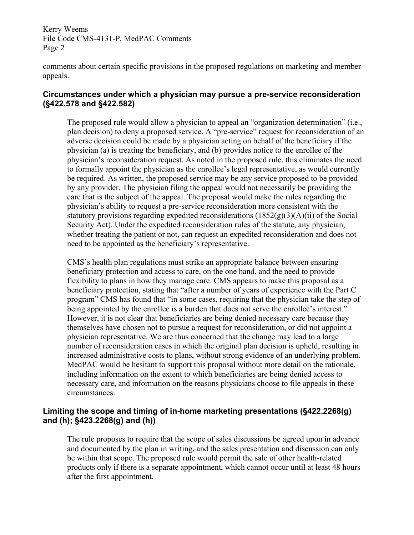comments about certain specific provisions in the proposed regulations on marketing and member appeals.

#### **Circumstances under which a physician may pursue a pre-service reconsideration (§422.578 and §422.582)**

The proposed rule would allow a physician to appeal an "organization determination" (i.e., plan decision) to deny a proposed service. A "pre-service" request for reconsideration of an adverse decision could be made by a physician acting on behalf of the beneficiary if the physician (a) is treating the beneficiary, and (b) provides notice to the enrollee of the physician's reconsideration request. As noted in the proposed rule, this eliminates the need to formally appoint the physician as the enrollee's legal representative, as would currently be required. As written, the proposed service may be any service proposed to be provided by any provider. The physician filing the appeal would not necessarily be providing the care that is the subject of the appeal. The proposal would make the rules regarding the physician's ability to request a pre-service reconsideration more consistent with the statutory provisions regarding expedited reconsiderations  $(1852(g)(3)(A)(ii)$  of the Social Security Act). Under the expedited reconsideration rules of the statute, any physician, whether treating the patient or not, can request an expedited reconsideration and does not need to be appointed as the beneficiary's representative.

CMS's health plan regulations must strike an appropriate balance between ensuring beneficiary protection and access to care, on the one hand, and the need to provide flexibility to plans in how they manage care. CMS appears to make this proposal as a beneficiary protection, stating that "after a number of years of experience with the Part C program" CMS has found that "in some cases, requiring that the physician take the step of being appointed by the enrollee is a burden that does not serve the enrollee's interest." However, it is not clear that beneficiaries are being denied necessary care because they themselves have chosen not to pursue a request for reconsideration, or did not appoint a physician representative. We are thus concerned that the change may lead to a large number of reconsideration cases in which the original plan decision is upheld, resulting in increased administrative costs to plans, without strong evidence of an underlying problem. MedPAC would be hesitant to support this proposal without more detail on the rationale, including information on the extent to which beneficiaries are being denied access to necessary care, and information on the reasons physicians choose to file appeals in these circumstances.

## **Limiting the scope and timing of in-home marketing presentations (§422.2268(g) and (h); §423.2268(g) and (h))**

The rule proposes to require that the scope of sales discussions be agreed upon in advance and documented by the plan in writing, and the sales presentation and discussion can only be within that scope. The proposed rule would permit the sale of other health-related products only if there is a separate appointment, which cannot occur until at least 48 hours after the first appointment.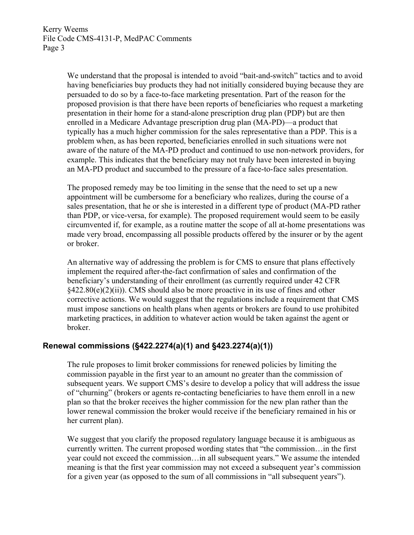We understand that the proposal is intended to avoid "bait-and-switch" tactics and to avoid having beneficiaries buy products they had not initially considered buying because they are persuaded to do so by a face-to-face marketing presentation. Part of the reason for the proposed provision is that there have been reports of beneficiaries who request a marketing presentation in their home for a stand-alone prescription drug plan (PDP) but are then enrolled in a Medicare Advantage prescription drug plan (MA-PD)—a product that typically has a much higher commission for the sales representative than a PDP. This is a problem when, as has been reported, beneficiaries enrolled in such situations were not aware of the nature of the MA-PD product and continued to use non-network providers, for example. This indicates that the beneficiary may not truly have been interested in buying an MA-PD product and succumbed to the pressure of a face-to-face sales presentation.

The proposed remedy may be too limiting in the sense that the need to set up a new appointment will be cumbersome for a beneficiary who realizes, during the course of a sales presentation, that he or she is interested in a different type of product (MA-PD rather than PDP, or vice-versa, for example). The proposed requirement would seem to be easily circumvented if, for example, as a routine matter the scope of all at-home presentations was made very broad, encompassing all possible products offered by the insurer or by the agent or broker.

An alternative way of addressing the problem is for CMS to ensure that plans effectively implement the required after-the-fact confirmation of sales and confirmation of the beneficiary's understanding of their enrollment (as currently required under 42 CFR  $§422.80(e)(2)(ii)$ ). CMS should also be more proactive in its use of fines and other corrective actions. We would suggest that the regulations include a requirement that CMS must impose sanctions on health plans when agents or brokers are found to use prohibited marketing practices, in addition to whatever action would be taken against the agent or broker.

### **Renewal commissions (§422.2274(a)(1) and §423.2274(a)(1))**

The rule proposes to limit broker commissions for renewed policies by limiting the commission payable in the first year to an amount no greater than the commission of subsequent years. We support CMS's desire to develop a policy that will address the issue of "churning" (brokers or agents re-contacting beneficiaries to have them enroll in a new plan so that the broker receives the higher commission for the new plan rather than the lower renewal commission the broker would receive if the beneficiary remained in his or her current plan).

We suggest that you clarify the proposed regulatory language because it is ambiguous as currently written. The current proposed wording states that "the commission…in the first year could not exceed the commission…in all subsequent years." We assume the intended meaning is that the first year commission may not exceed a subsequent year's commission for a given year (as opposed to the sum of all commissions in "all subsequent years").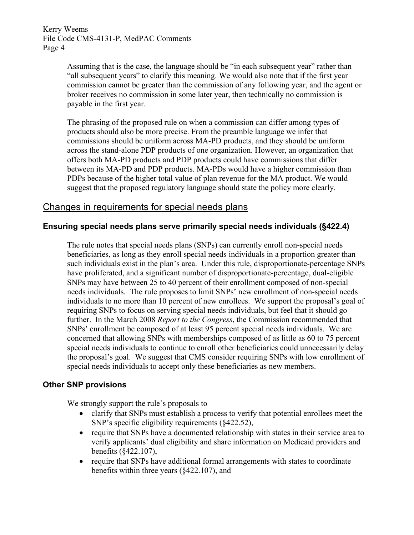> Assuming that is the case, the language should be "in each subsequent year" rather than "all subsequent years" to clarify this meaning. We would also note that if the first year commission cannot be greater than the commission of any following year, and the agent or broker receives no commission in some later year, then technically no commission is payable in the first year.

The phrasing of the proposed rule on when a commission can differ among types of products should also be more precise. From the preamble language we infer that commissions should be uniform across MA-PD products, and they should be uniform across the stand-alone PDP products of one organization. However, an organization that offers both MA-PD products and PDP products could have commissions that differ between its MA-PD and PDP products. MA-PDs would have a higher commission than PDPs because of the higher total value of plan revenue for the MA product. We would suggest that the proposed regulatory language should state the policy more clearly.

## Changes in requirements for special needs plans

#### **Ensuring special needs plans serve primarily special needs individuals (§422.4)**

The rule notes that special needs plans (SNPs) can currently enroll non-special needs beneficiaries, as long as they enroll special needs individuals in a proportion greater than such individuals exist in the plan's area. Under this rule, disproportionate-percentage SNPs have proliferated, and a significant number of disproportionate-percentage, dual-eligible SNPs may have between 25 to 40 percent of their enrollment composed of non-special needs individuals. The rule proposes to limit SNPs' new enrollment of non-special needs individuals to no more than 10 percent of new enrollees. We support the proposal's goal of requiring SNPs to focus on serving special needs individuals, but feel that it should go further. In the March 2008 *Report to the Congress*, the Commission recommended that SNPs' enrollment be composed of at least 95 percent special needs individuals. We are concerned that allowing SNPs with memberships composed of as little as 60 to 75 percent special needs individuals to continue to enroll other beneficiaries could unnecessarily delay the proposal's goal. We suggest that CMS consider requiring SNPs with low enrollment of special needs individuals to accept only these beneficiaries as new members.

#### **Other SNP provisions**

We strongly support the rule's proposals to

- clarify that SNPs must establish a process to verify that potential enrollees meet the SNP's specific eligibility requirements (§422.52),
- require that SNPs have a documented relationship with states in their service area to verify applicants' dual eligibility and share information on Medicaid providers and benefits (§422.107),
- require that SNPs have additional formal arrangements with states to coordinate benefits within three years (§422.107), and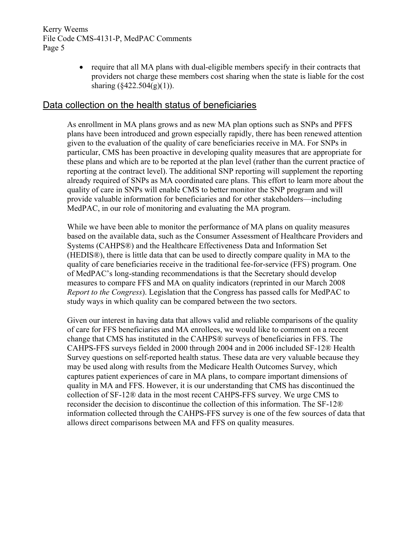> • require that all MA plans with dual-eligible members specify in their contracts that providers not charge these members cost sharing when the state is liable for the cost sharing  $(\frac{2422.504(g)(1)}{g})$ .

## Data collection on the health status of beneficiaries

As enrollment in MA plans grows and as new MA plan options such as SNPs and PFFS plans have been introduced and grown especially rapidly, there has been renewed attention given to the evaluation of the quality of care beneficiaries receive in MA. For SNPs in particular, CMS has been proactive in developing quality measures that are appropriate for these plans and which are to be reported at the plan level (rather than the current practice of reporting at the contract level). The additional SNP reporting will supplement the reporting already required of SNPs as MA coordinated care plans. This effort to learn more about the quality of care in SNPs will enable CMS to better monitor the SNP program and will provide valuable information for beneficiaries and for other stakeholders—including MedPAC, in our role of monitoring and evaluating the MA program.

While we have been able to monitor the performance of MA plans on quality measures based on the available data, such as the Consumer Assessment of Healthcare Providers and Systems (CAHPS®) and the Healthcare Effectiveness Data and Information Set (HEDIS®), there is little data that can be used to directly compare quality in MA to the quality of care beneficiaries receive in the traditional fee-for-service (FFS) program. One of MedPAC's long-standing recommendations is that the Secretary should develop measures to compare FFS and MA on quality indicators (reprinted in our March 2008 *Report to the Congress*). Legislation that the Congress has passed calls for MedPAC to study ways in which quality can be compared between the two sectors.

Given our interest in having data that allows valid and reliable comparisons of the quality of care for FFS beneficiaries and MA enrollees, we would like to comment on a recent change that CMS has instituted in the CAHPS® surveys of beneficiaries in FFS. The CAHPS-FFS surveys fielded in 2000 through 2004 and in 2006 included SF-12® Health Survey questions on self-reported health status. These data are very valuable because they may be used along with results from the Medicare Health Outcomes Survey, which captures patient experiences of care in MA plans, to compare important dimensions of quality in MA and FFS. However, it is our understanding that CMS has discontinued the collection of SF-12® data in the most recent CAHPS-FFS survey. We urge CMS to reconsider the decision to discontinue the collection of this information. The SF-12® information collected through the CAHPS-FFS survey is one of the few sources of data that allows direct comparisons between MA and FFS on quality measures.